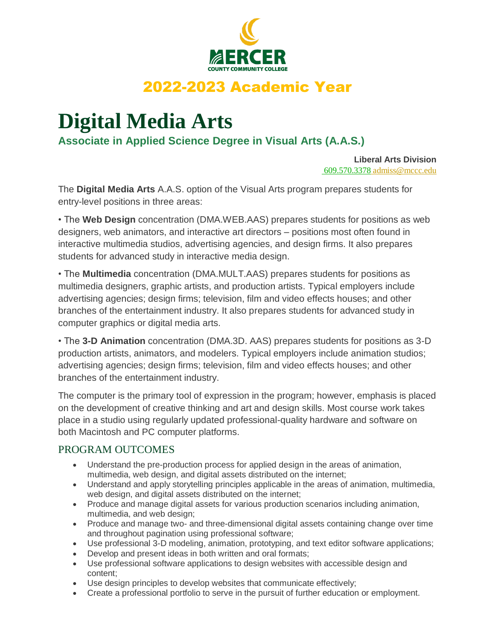

## 2022-2023 Academic Year

# **Digital Media Arts**

**Associate in Applied Science Degree in Visual Arts (A.A.S.)**

**Liberal Arts Division** 609.570.3378 admiss@mccc.edu

The **Digital Media Arts** A.A.S. option of the Visual Arts program prepares students for entry-level positions in three areas:

• The **Web Design** concentration (DMA.WEB.AAS) prepares students for positions as web designers, web animators, and interactive art directors – positions most often found in interactive multimedia studios, advertising agencies, and design firms. It also prepares students for advanced study in interactive media design.

• The **Multimedia** concentration (DMA.MULT.AAS) prepares students for positions as multimedia designers, graphic artists, and production artists. Typical employers include advertising agencies; design firms; television, film and video effects houses; and other branches of the entertainment industry. It also prepares students for advanced study in computer graphics or digital media arts.

• The **3-D Animation** concentration (DMA.3D. AAS) prepares students for positions as 3-D production artists, animators, and modelers. Typical employers include animation studios; advertising agencies; design firms; television, film and video effects houses; and other branches of the entertainment industry.

The computer is the primary tool of expression in the program; however, emphasis is placed on the development of creative thinking and art and design skills. Most course work takes place in a studio using regularly updated professional-quality hardware and software on both Macintosh and PC computer platforms.

### PROGRAM OUTCOMES

- Understand the pre-production process for applied design in the areas of animation, multimedia, web design, and digital assets distributed on the internet;
- Understand and apply storytelling principles applicable in the areas of animation, multimedia, web design, and digital assets distributed on the internet;
- Produce and manage digital assets for various production scenarios including animation, multimedia, and web design;
- Produce and manage two- and three-dimensional digital assets containing change over time and throughout pagination using professional software;
- Use professional 3-D modeling, animation, prototyping, and text editor software applications;
- Develop and present ideas in both written and oral formats;
- Use professional software applications to design websites with accessible design and content;
- Use design principles to develop websites that communicate effectively;
- Create a professional portfolio to serve in the pursuit of further education or employment.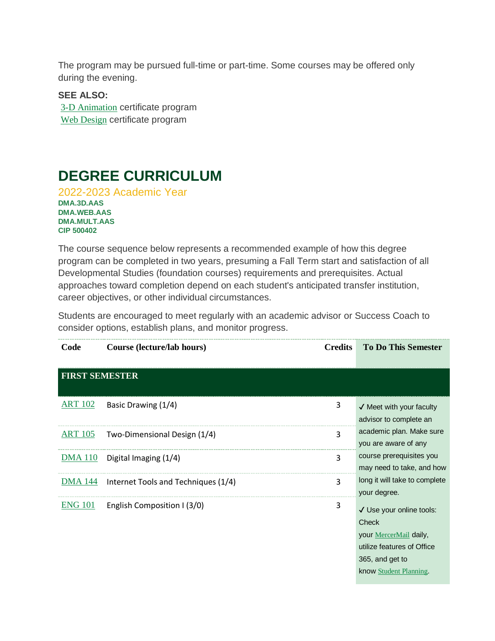The program may be pursued full-time or part-time. Some courses may be offered only during the evening.

**SEE ALSO:** 3-D Animation certificate program Web Design certificate program

### **DEGREE CURRICULUM**

2022-2023 Academic Year **DMA.3D.AAS DMA.WEB.AAS DMA.MULT.AAS CIP 500402**

The course sequence below represents a recommended example of how this degree program can be completed in two years, presuming a Fall Term start and satisfaction of all Developmental Studies (foundation courses) requirements and prerequisites. Actual approaches toward completion depend on each student's anticipated transfer institution, career objectives, or other individual circumstances.

Students are encouraged to meet regularly with an academic advisor or Success Coach to consider options, establish plans, and monitor progress.

| Code                  | Course (lecture/lab hours)          | <b>Credits</b> | <b>To Do This Semester</b>                                                                                                             |
|-----------------------|-------------------------------------|----------------|----------------------------------------------------------------------------------------------------------------------------------------|
| <b>FIRST SEMESTER</b> |                                     |                |                                                                                                                                        |
| <b>ART 102</b>        | Basic Drawing (1/4)                 | 3              | $\checkmark$ Meet with your faculty<br>advisor to complete an                                                                          |
| <u>ART 105</u>        | Two-Dimensional Design (1/4)        | 3              | academic plan. Make sure<br>you are aware of any                                                                                       |
| <u>DMA 110</u>        | Digital Imaging (1/4)               | 3              | course prerequisites you<br>may need to take, and how                                                                                  |
| <u>DMA 144</u>        | Internet Tools and Techniques (1/4) | 3              | long it will take to complete<br>your degree.                                                                                          |
| <b>ENG 101</b>        | English Composition I (3/0)         | 3              | √ Use your online tools:<br>Check<br>your MercerMail daily,<br>utilize features of Office<br>365, and get to<br>know Student Planning. |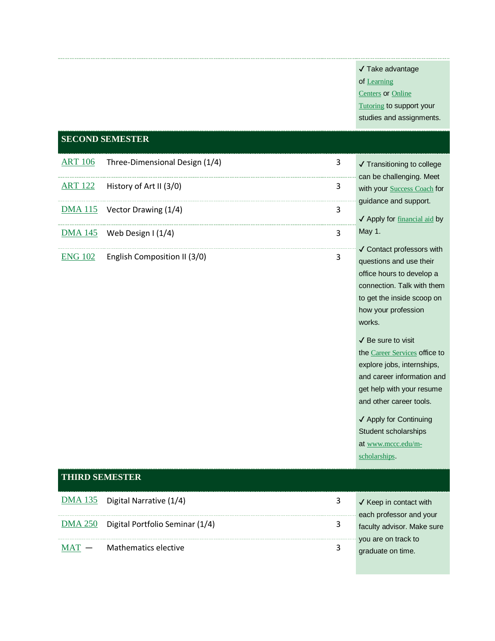#### ✔ Take advantage

of Learning

Centers or Online

#### **Tutoring to support your**

studies and assignments.

#### **SECOND SEMESTER**

| $ART 106$ Three-Dimensional Design (1/4) | 3 | $\sqrt{\ }$ Transitioning to college                                     |
|------------------------------------------|---|--------------------------------------------------------------------------|
| $ART 122$ History of Art II (3/0)        |   | can be challenging. Meet<br>with your Success Coach for                  |
| $DMA 115$ Vector Drawing (1/4)           | 3 | quidance and support.<br>$\sqrt{\phantom{a}}$ Apply for financial aid by |
| $DMA$ 145 Web Design I (1/4)             |   | May 1.                                                                   |
| $ENG$ 102 English Composition II (3/0)   |   | √ Contact professors with<br>questions and use their                     |

ors with their office hours to develop a connection. Talk with them to get the inside scoop on how your profession works.

✔ Be sure to visit the Career Services office to explore jobs, internships, and career information and get help with your resume and other career tools.

✔ Apply for Continuing Student scholarships at www.mccc.edu/mscholarships.

# **THIRD SEMESTER**  $\underline{\text{DMA 135}}$  Digital Narrative (1/4)  $\underline{\hspace{1cm}}$  3  $\sqrt{\text{Keep in contact with}}$ DMA 250 Digital Portfolio Seminar (1/4) 3

MAT - Mathematics elective 3

each professor and your faculty advisor. Make sure you are on track to graduate on time.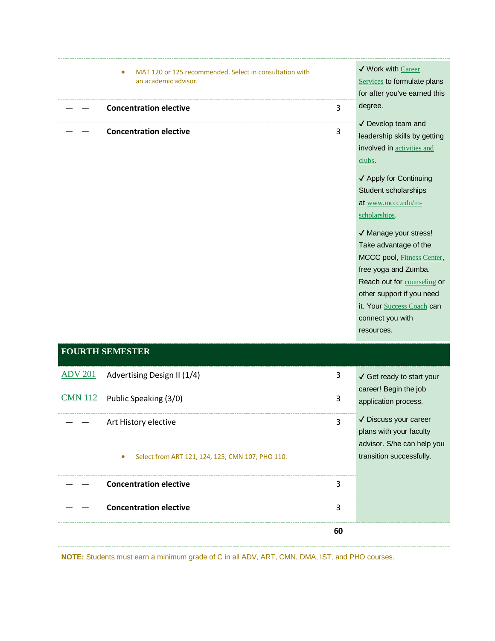| MAT 120 or 125 recommended. Select in consultation with<br>٠<br>an academic advisor. |   | ✔ Work with Career<br><b>Services</b> to formulate plans<br>for after you've earned this                                                                                  |
|--------------------------------------------------------------------------------------|---|---------------------------------------------------------------------------------------------------------------------------------------------------------------------------|
|                                                                                      |   |                                                                                                                                                                           |
| <b>Concentration elective</b>                                                        | 3 | degree.                                                                                                                                                                   |
| <b>Concentration elective</b>                                                        | 3 | √ Develop team and<br>leadership skills by getting<br>involved in <b>activities</b> and<br>clubs.<br>✔ Apply for Continuing<br>Student scholarships<br>at www.mccc.edu/m- |
|                                                                                      |   | scholarships.<br>√ Manage your stress!<br>Take advantage of the<br>MCCC pool, Fitness Center,                                                                             |

free yoga and Zumba. Reach out for counseling or other support if you need it. Your **Success Coach** can

connect you with resources.

### **FOURTH SEMESTER**

| ADV 201 Advertising Design II (1/4)                                                   | 3  | $\checkmark$ Get ready to start your<br>career! Begin the job                                              |
|---------------------------------------------------------------------------------------|----|------------------------------------------------------------------------------------------------------------|
| $CMN$ 112 Public Speaking (3/0)                                                       | 3  | application process.                                                                                       |
| Art History elective<br>Select from ART 121, 124, 125; CMN 107; PHO 110.<br>$\bullet$ | ર  | √ Discuss your career<br>plans with your faculty<br>advisor. S/he can help you<br>transition successfully. |
| <b>Concentration elective</b>                                                         | 3  |                                                                                                            |
| <b>Concentration elective</b>                                                         | 3  |                                                                                                            |
|                                                                                       | 60 |                                                                                                            |

**NOTE:** Students must earn a minimum grade of C in all ADV, ART, CMN, DMA, IST, and PHO courses.